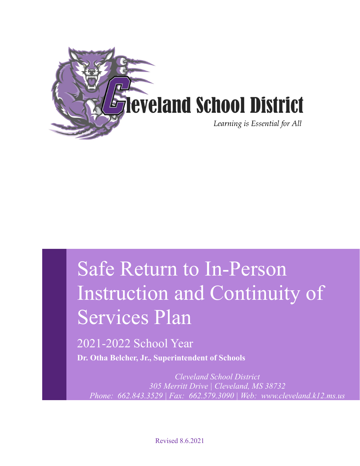

# Safe Return to In-Person Instruction and Continuity of Services Plan

2021-2022 School Year

**Dr. Otha Belcher, Jr., Superintendent of Schools**

*Cleveland School District 305 Merritt Drive | Cleveland, MS 38732 Phone: 662.843.3529 | Fax: 662.579.3090 | Web: www.cleveland.k12.ms.us*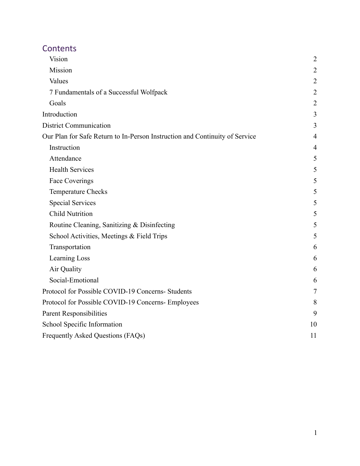# **Contents**

| Vision                                                                      | $\overline{2}$ |
|-----------------------------------------------------------------------------|----------------|
| Mission                                                                     | $\overline{2}$ |
| Values                                                                      | $\overline{2}$ |
| 7 Fundamentals of a Successful Wolfpack                                     | $\overline{2}$ |
| Goals                                                                       | $\overline{2}$ |
| Introduction                                                                | 3              |
| <b>District Communication</b>                                               | 3              |
| Our Plan for Safe Return to In-Person Instruction and Continuity of Service | $\overline{4}$ |
| Instruction                                                                 | $\overline{4}$ |
| Attendance                                                                  | 5              |
| <b>Health Services</b>                                                      | 5              |
| <b>Face Coverings</b>                                                       | 5              |
| <b>Temperature Checks</b>                                                   | 5              |
| <b>Special Services</b>                                                     | 5              |
| <b>Child Nutrition</b>                                                      | 5              |
| Routine Cleaning, Sanitizing & Disinfecting                                 | 5              |
| School Activities, Meetings & Field Trips                                   | 5              |
| Transportation                                                              | 6              |
| Learning Loss                                                               | 6              |
| Air Quality                                                                 | 6              |
| Social-Emotional                                                            | 6              |
| Protocol for Possible COVID-19 Concerns- Students                           | 7              |
| Protocol for Possible COVID-19 Concerns- Employees                          | 8              |
| <b>Parent Responsibilities</b>                                              | 9              |
| School Specific Information                                                 | 10             |
| Frequently Asked Questions (FAQs)                                           | 11             |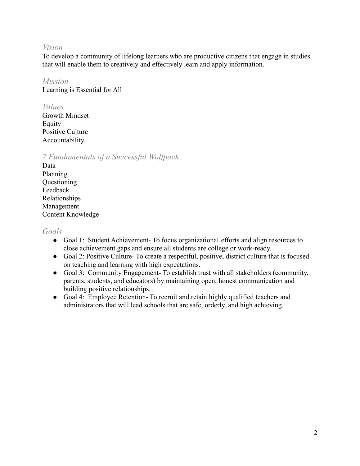#### <span id="page-2-0"></span>*Vision*

To develop a community of lifelong learners who are productive citizens that engage in studies that will enable them to creatively and effectively learn and apply information.

#### <span id="page-2-1"></span>*Mission*

Learning is Essential for All

#### <span id="page-2-2"></span>*Values*

Growth Mindset Equity Positive Culture Accountability

## <span id="page-2-3"></span>*7 Fundamentals of a Successful Wolfpack*

Data Planning Questioning Feedback Relationships Management Content Knowledge

#### <span id="page-2-4"></span>*Goals*

- Goal 1: Student Achievement- To focus organizational efforts and align resources to close achievement gaps and ensure all students are college or work-ready.
- Goal 2: Positive Culture- To create a respectful, positive, district culture that is focused on teaching and learning with high expectations.
- Goal 3: Community Engagement- To establish trust with all stakeholders (community, parents, students, and educators) by maintaining open, honest communication and building positive relationships.
- Goal 4: Employee Retention- To recruit and retain highly qualified teachers and administrators that will lead schools that are safe, orderly, and high achieving.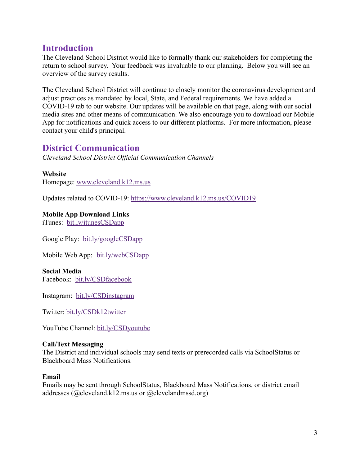# <span id="page-3-0"></span>**Introduction**

The Cleveland School District would like to formally thank our stakeholders for completing the return to school survey. Your feedback was invaluable to our planning. Below you will see an overview of the survey results.

The Cleveland School District will continue to closely monitor the coronavirus development and adjust practices as mandated by local, State, and Federal requirements. We have added a COVID-19 tab to our website. Our updates will be available on that page, along with our social media sites and other means of communication. We also encourage you to download our Mobile App for notifications and quick access to our different platforms. For more information, please contact your child's principal.

## <span id="page-3-1"></span>**District Communication**

*Cleveland School District Official Communication Channels*

#### **Website**

Homepage: [www.cleveland.k12.ms.us](http://www.cleveland.k12.ms.us)

Updates related to COVID-19: <https://www.cleveland.k12.ms.us/COVID19>

#### **Mobile App Download Links**

iTunes: [bit.ly/itunesCSDapp](https://d.docs.live.net/f0b2657d7e45091e/Cleveland%20School%20District!/Operations/COVID-19/Return%20to%20School/Plans/bit.ly/itunesCSDapp)

Google Play: [bit.ly/googleCSDapp](https://d.docs.live.net/f0b2657d7e45091e/Cleveland%20School%20District!/Operations/COVID-19/Return%20to%20School/Plans/bit.ly/googleCSDapp)

Mobile Web App: [bit.ly/webCSDapp](https://d.docs.live.net/f0b2657d7e45091e/Cleveland%20School%20District!/Operations/COVID-19/Return%20to%20School/Plans/bit.ly/webCSDapp)

#### **Social Media**

Facebook: [bit.ly/CSDfacebook](https://d.docs.live.net/f0b2657d7e45091e/Cleveland%20School%20District!/Operations/COVID-19/Return%20to%20School/Plans/bit.ly/CSDfacebook)

Instagram: [bit.ly/CSDinstagram](https://d.docs.live.net/f0b2657d7e45091e/Cleveland%20School%20District!/Operations/COVID-19/Return%20to%20School/Plans/bit.ly/CSDinstagram)

Twitter: [bit.ly/CSDk12twitter](https://d.docs.live.net/f0b2657d7e45091e/Cleveland%20School%20District!/Operations/COVID-19/Return%20to%20School/Plans/bit.ly/CSDk12twitter)

YouTube Channel: [bit.ly/CSDyoutube](https://d.docs.live.net/f0b2657d7e45091e/Cleveland%20School%20District!/Operations/COVID-19/Return%20to%20School/Plans/bit.ly/CSDyoutube)

#### **Call/Text Messaging**

The District and individual schools may send texts or prerecorded calls via SchoolStatus or Blackboard Mass Notifications.

#### **Email**

Emails may be sent through SchoolStatus, Blackboard Mass Notifications, or district email addresses (@cleveland.k12.ms.us or @clevelandmssd.org)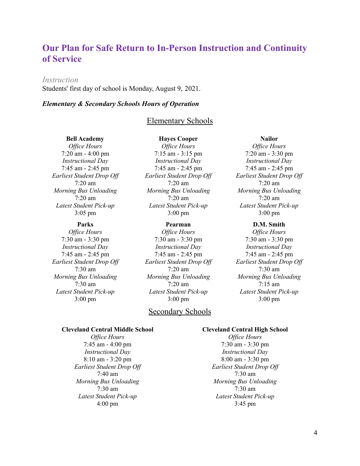# <span id="page-4-0"></span>**Our Plan for Safe Return to In-Person Instruction and Continuity of Service**

#### <span id="page-4-1"></span>*Instruction*

Students' first day of school is Monday, August 9, 2021.

#### *Elementary & Secondary Schools Hours of Operation*

#### Elementary Schools

#### **Bell Academy**

*Of ice Hours* 7:20 am - 4:00 pm *Instructional Day* 7:45 am - 2:45 pm *Earliest Student Drop Of* 7:20 am *Morning Bus Unloading* 7:20 am *Latest Student Pick-up* 3:05 pm

#### **Parks**

*Of ice Hours* 7:30 am - 3:30 pm *Instructional Day* 7:45 am - 2:45 pm *Earliest Student Drop Of* 7:30 am *Morning Bus Unloading* 7:30 am *Latest Student Pick-up* 3:00 pm

**Hayes Cooper** *Of ice Hours* 7:15 am - 3:15 pm *Instructional Day* 7:45 am - 2:45 pm *Earliest Student Drop Of* 7:20 am *Morning Bus Unloading* 7:20 am *Latest Student Pick-up* 3:00 pm

#### **Pearman**

*Of ice Hours* 7:30 am - 3:30 pm *Instructional Day* 7:45 am - 2:45 pm *Earliest Student Drop Of* 7:20 am *Morning Bus Unloading* 7:20 am *Latest Student Pick-up* 3:00 pm

#### Secondary Schools

#### **Nailor**

*Of ice Hours* 7:20 am - 3:30 pm *Instructional Day* 7:45 am - 2:45 pm *Earliest Student Drop Of* 7:20 am *Morning Bus Unloading* 7:20 am *Latest Student Pick-up* 3:00 pm

#### **D.M. Smith**

*Of ice Hours* 7:30 am - 3:30 pm *Instructional Day* 7:45 am - 2:45 pm *Earliest Student Drop Of* 7:30 am *Morning Bus Unloading* 7:15 am *Latest Student Pick-up* 3:00 pm

#### **Cleveland Central Middle School**

*Of ice Hours* 7:45 am - 4:00 pm *Instructional Day* 8:10 am - 3:20 pm *Earliest Student Drop Of* 7:40 am *Morning Bus Unloading* 7:30 am *Latest Student Pick-up* 4:00 pm

#### **Cleveland Central High School**

*Of ice Hours* 7:30 am - 3:30 pm *Instructional Day* 8:00 am - 3:30 pm *Earliest Student Drop Of* 7:30 am *Morning Bus Unloading* 7:30 am *Latest Student Pick-up* 3:45 pm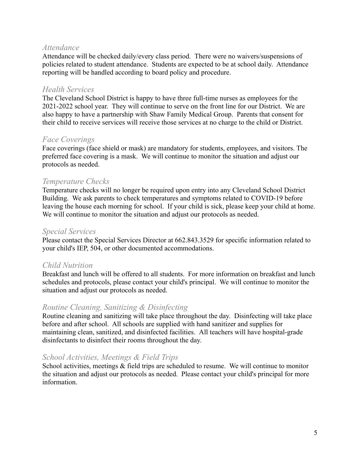## <span id="page-5-0"></span>*Attendance*

Attendance will be checked daily/every class period. There were no waivers/suspensions of policies related to student attendance. Students are expected to be at school daily. Attendance reporting will be handled according to board policy and procedure.

#### <span id="page-5-1"></span>*Health Services*

The Cleveland School District is happy to have three full-time nurses as employees for the 2021-2022 school year. They will continue to serve on the front line for our District. We are also happy to have a partnership with Shaw Family Medical Group. Parents that consent for their child to receive services will receive those services at no charge to the child or District.

## <span id="page-5-2"></span>*Face Coverings*

Face coverings (face shield or mask) are mandatory for students, employees, and visitors. The preferred face covering is a mask. We will continue to monitor the situation and adjust our protocols as needed.

## <span id="page-5-3"></span>*Temperature Checks*

Temperature checks will no longer be required upon entry into any Cleveland School District Building. We ask parents to check temperatures and symptoms related to COVID-19 before leaving the house each morning for school. If your child is sick, please keep your child at home. We will continue to monitor the situation and adjust our protocols as needed.

#### <span id="page-5-4"></span>*Special Services*

Please contact the Special Services Director at 662.843.3529 for specific information related to your child's IEP, 504, or other documented accommodations.

## <span id="page-5-5"></span>*Child Nutrition*

Breakfast and lunch will be offered to all students. For more information on breakfast and lunch schedules and protocols, please contact your child's principal. We will continue to monitor the situation and adjust our protocols as needed.

## <span id="page-5-6"></span>*Routine Cleaning, Sanitizing & Disinfecting*

Routine cleaning and sanitizing will take place throughout the day. Disinfecting will take place before and after school. All schools are supplied with hand sanitizer and supplies for maintaining clean, sanitized, and disinfected facilities. All teachers will have hospital-grade disinfectants to disinfect their rooms throughout the day.

## <span id="page-5-7"></span>*School Activities, Meetings & Field Trips*

School activities, meetings  $\&$  field trips are scheduled to resume. We will continue to monitor the situation and adjust our protocols as needed. Please contact your child's principal for more information.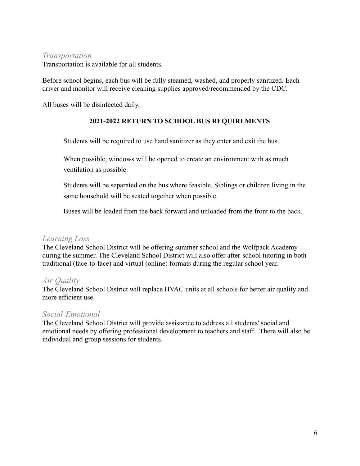#### <span id="page-6-0"></span>*Transportation*

Transportation is available for all students.

Before school begins, each bus will be fully steamed, washed, and properly sanitized. Each driver and monitor will receive cleaning supplies approved/recommended by the CDC.

All buses will be disinfected daily.

#### **2021-2022 RETURN TO SCHOOL BUS REQUIREMENTS**

Students will be required to use hand sanitizer as they enter and exit the bus.

When possible, windows will be opened to create an environment with as much ventilation as possible.

Students will be separated on the bus where feasible. Siblings or children living in the same household will be seated together when possible.

Buses will be loaded from the back forward and unloaded from the front to the back.

## <span id="page-6-1"></span>*Learning Loss*

The Cleveland School District will be offering summer school and the Wolfpack Academy during the summer. The Cleveland School District will also offer after-school tutoring in both traditional (face-to-face) and virtual (online) formats during the regular school year.

## <span id="page-6-2"></span>*Air Quality*

The Cleveland School District will replace HVAC units at all schools for better air quality and more efficient use.

## <span id="page-6-3"></span>*Social-Emotional*

The Cleveland School District will provide assistance to address all students' social and emotional needs by offering professional development to teachers and staff. There will also be individual and group sessions for students.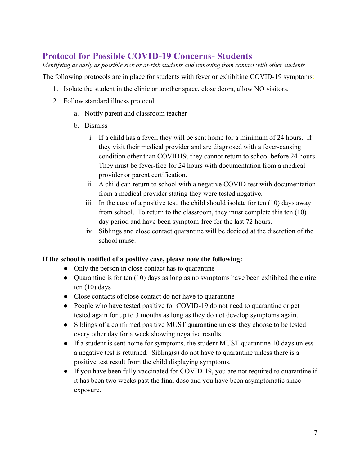# <span id="page-7-0"></span>**Protocol for Possible COVID-19 Concerns- Students**

*Identifying as early as possible sick or at-risk students and removing from contact with other students*

The following protocols are in place for students with fever or exhibiting COVID-19 symptoms:

- 1. Isolate the student in the clinic or another space, close doors, allow NO visitors.
- 2. Follow standard illness protocol.
	- a. Notify parent and classroom teacher
	- b. Dismiss
		- i. If a child has a fever, they will be sent home for a minimum of 24 hours. If they visit their medical provider and are diagnosed with a fever-causing condition other than COVID19, they cannot return to school before 24 hours. They must be fever-free for 24 hours with documentation from a medical provider or parent certification.
		- ii. A child can return to school with a negative COVID test with documentation from a medical provider stating they were tested negative.
		- iii. In the case of a positive test, the child should isolate for ten (10) days away from school. To return to the classroom, they must complete this ten (10) day period and have been symptom-free for the last 72 hours.
		- iv. Siblings and close contact quarantine will be decided at the discretion of the school nurse.

## **If the school is notified of a positive case, please note the following:**

- Only the person in close contact has to quarantine
- Quarantine is for ten (10) days as long as no symptoms have been exhibited the entire ten (10) days
- Close contacts of close contact do not have to quarantine
- People who have tested positive for COVID-19 do not need to quarantine or get tested again for up to 3 months as long as they do not develop symptoms again.
- Siblings of a confirmed positive MUST quarantine unless they choose to be tested every other day for a week showing negative results.
- If a student is sent home for symptoms, the student MUST quarantine 10 days unless a negative test is returned. Sibling(s) do not have to quarantine unless there is a positive test result from the child displaying symptoms.
- If you have been fully vaccinated for COVID-19, you are not required to quarantine if it has been two weeks past the final dose and you have been asymptomatic since exposure.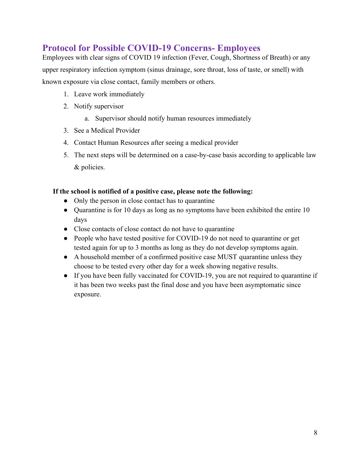# <span id="page-8-0"></span>**Protocol for Possible COVID-19 Concerns- Employees**

Employees with clear signs of COVID 19 infection (Fever, Cough, Shortness of Breath) or any upper respiratory infection symptom (sinus drainage, sore throat, loss of taste, or smell) with known exposure via close contact, family members or others.

- 1. Leave work immediately
- 2. Notify supervisor
	- a. Supervisor should notify human resources immediately
- 3. See a Medical Provider
- 4. Contact Human Resources after seeing a medical provider
- 5. The next steps will be determined on a case-by-case basis according to applicable law & policies.

#### **If the school is notified of a positive case, please note the following:**

- Only the person in close contact has to quarantine
- Quarantine is for 10 days as long as no symptoms have been exhibited the entire 10 days
- Close contacts of close contact do not have to quarantine
- People who have tested positive for COVID-19 do not need to quarantine or get tested again for up to 3 months as long as they do not develop symptoms again.
- A household member of a confirmed positive case MUST quarantine unless they choose to be tested every other day for a week showing negative results.
- If you have been fully vaccinated for COVID-19, you are not required to quarantine if it has been two weeks past the final dose and you have been asymptomatic since exposure.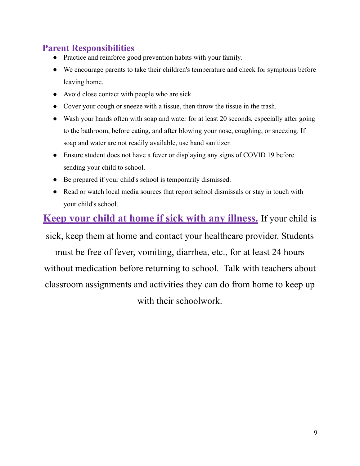# <span id="page-9-0"></span>**Parent Responsibilities**

- Practice and reinforce good prevention habits with your family.
- We encourage parents to take their children's temperature and check for symptoms before leaving home.
- Avoid close contact with people who are sick.
- Cover your cough or sneeze with a tissue, then throw the tissue in the trash.
- Wash your hands often with soap and water for at least 20 seconds, especially after going to the bathroom, before eating, and after blowing your nose, coughing, or sneezing. If soap and water are not readily available, use hand sanitizer.
- Ensure student does not have a fever or displaying any signs of COVID 19 before sending your child to school.
- Be prepared if your child's school is temporarily dismissed.
- Read or watch local media sources that report school dismissals or stay in touch with your child's school.

# **Keep your child at home if sick with any illness.** If your child is

sick, keep them at home and contact your healthcare provider. Students must be free of fever, vomiting, diarrhea, etc., for at least 24 hours without medication before returning to school. Talk with teachers about classroom assignments and activities they can do from home to keep up with their schoolwork.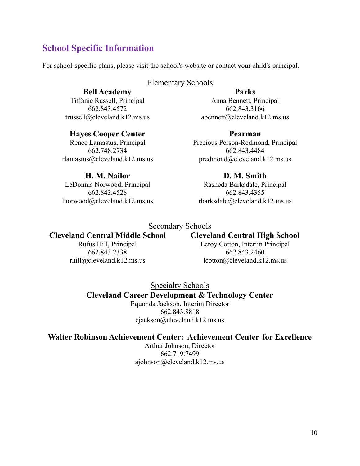# <span id="page-10-0"></span>**School Specific Information**

For school-specific plans, please visit the school's website or contact your child's principal.

#### Elementary Schools

#### **Bell Academy**

Tiffanie Russell, Principal 662.843.4572 trussell@cleveland.k12.ms.us

#### **Parks** Anna Bennett, Principal 662.843.3166 abennett@cleveland.k12.ms.us

## **Hayes Cooper Center**

Renee Lamastus, Principal 662.748.2734 rlamastus@cleveland.k12.ms.us

**Pearman** Precious Person-Redmond, Principal 662.843.4484 predmond@cleveland.k12.ms.us

## **H. M. Nailor**

LeDonnis Norwood, Principal 662.843.4528 lnorwood@cleveland.k12.ms.us

#### **D. M. Smith** Rasheda Barksdale, Principal 662.843.4355 rbarksdale@cleveland.k12.ms.us

## Secondary Schools

# **Cleveland Central Middle School**

Rufus Hill, Principal 662.843.2338 rhill@cleveland.k12.ms.us

## **Cleveland Central High School**

Leroy Cotton, Interim Principal 662.843.2460 lcotton@cleveland.k12.ms.us

Specialty Schools

## **Cleveland Career Development & Technology Center**

Equonda Jackson, Interim Director 662.843.8818 ejackson@cleveland.k12.ms.us

## **Walter Robinson Achievement Center: Achievement Center for Excellence**

Arthur Johnson, Director 662.719.7499 ajohnson@cleveland.k12.ms.us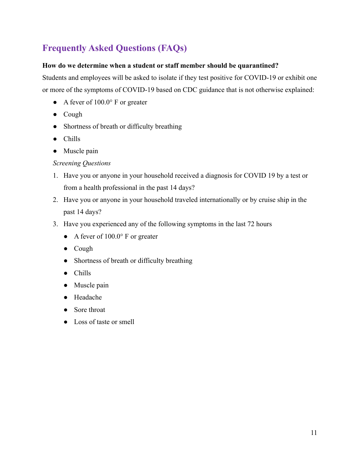# <span id="page-11-0"></span>**Frequently Asked Questions (FAQs)**

#### **How do we determine when a student or staff member should be quarantined?**

Students and employees will be asked to isolate if they test positive for COVID-19 or exhibit one or more of the symptoms of COVID-19 based on CDC guidance that is not otherwise explained:

- A fever of  $100.0^\circ$  F or greater
- Cough
- Shortness of breath or difficulty breathing
- Chills
- Muscle pain

## *Screening Questions*

- 1. Have you or anyone in your household received a diagnosis for COVID 19 by a test or from a health professional in the past 14 days?
- 2. Have you or anyone in your household traveled internationally or by cruise ship in the past 14 days?
- 3. Have you experienced any of the following symptoms in the last 72 hours
	- A fever of  $100.0^{\circ}$  F or greater
	- Cough
	- Shortness of breath or difficulty breathing
	- Chills
	- Muscle pain
	- Headache
	- Sore throat
	- Loss of taste or smell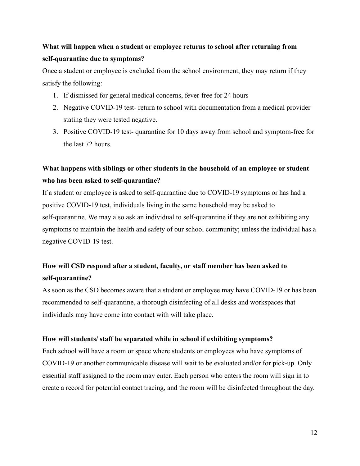# **What will happen when a student or employee returns to school after returning from self-quarantine due to symptoms?**

Once a student or employee is excluded from the school environment, they may return if they satisfy the following:

- 1. If dismissed for general medical concerns, fever-free for 24 hours
- 2. Negative COVID-19 test- return to school with documentation from a medical provider stating they were tested negative.
- 3. Positive COVID-19 test- quarantine for 10 days away from school and symptom-free for the last 72 hours.

# **What happens with siblings or other students in the household of an employee or student who has been asked to self-quarantine?**

If a student or employee is asked to self-quarantine due to COVID-19 symptoms or has had a positive COVID-19 test, individuals living in the same household may be asked to self-quarantine. We may also ask an individual to self-quarantine if they are not exhibiting any symptoms to maintain the health and safety of our school community; unless the individual has a negative COVID-19 test.

# **How will CSD respond after a student, faculty, or staff member has been asked to self-quarantine?**

As soon as the CSD becomes aware that a student or employee may have COVID-19 or has been recommended to self-quarantine, a thorough disinfecting of all desks and workspaces that individuals may have come into contact with will take place.

#### **How will students/ staff be separated while in school if exhibiting symptoms?**

Each school will have a room or space where students or employees who have symptoms of COVID-19 or another communicable disease will wait to be evaluated and/or for pick-up. Only essential staff assigned to the room may enter. Each person who enters the room will sign in to create a record for potential contact tracing, and the room will be disinfected throughout the day.